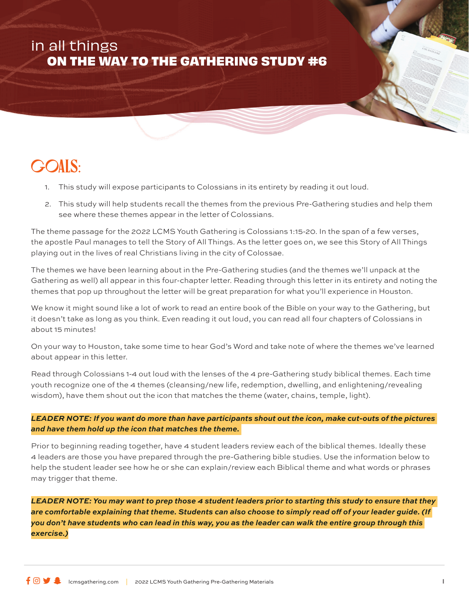# in all things **ON THE WAY TO THE GATHERING STUDY #6**

# Goals:

- 1. This study will expose participants to Colossians in its entirety by reading it out loud.
- 2. This study will help students recall the themes from the previous Pre-Gathering studies and help them see where these themes appear in the letter of Colossians.

The theme passage for the 2022 LCMS Youth Gathering is Colossians 1:15-20. In the span of a few verses, the apostle Paul manages to tell the Story of All Things. As the letter goes on, we see this Story of All Things playing out in the lives of real Christians living in the city of Colossae.

The themes we have been learning about in the Pre-Gathering studies (and the themes we'll unpack at the Gathering as well) all appear in this four-chapter letter. Reading through this letter in its entirety and noting the themes that pop up throughout the letter will be great preparation for what you'll experience in Houston.

We know it might sound like a lot of work to read an entire book of the Bible on your way to the Gathering, but it doesn't take as long as you think. Even reading it out loud, you can read all four chapters of Colossians in about 15 minutes!

On your way to Houston, take some time to hear God's Word and take note of where the themes we've learned about appear in this letter.

Read through Colossians 1-4 out loud with the lenses of the 4 pre-Gathering study biblical themes. Each time youth recognize one of the 4 themes (cleansing/new life, redemption, dwelling, and enlightening/revealing wisdom), have them shout out the icon that matches the theme (water, chains, temple, light).

*LEADER NOTE: If you want do more than have participants shout out the icon, make cut-outs of the pictures and have them hold up the icon that matches the theme.* 

Prior to beginning reading together, have 4 student leaders review each of the biblical themes. Ideally these 4 leaders are those you have prepared through the pre-Gathering bible studies. Use the information below to help the student leader see how he or she can explain/review each Biblical theme and what words or phrases may trigger that theme.

*LEADER NOTE: You may want to prep those 4 student leaders prior to starting this study to ensure that they are comfortable explaining that theme. Students can also choose to simply read off of your leader guide. (If you don't have students who can lead in this way, you as the leader can walk the entire group through this exercise.)*